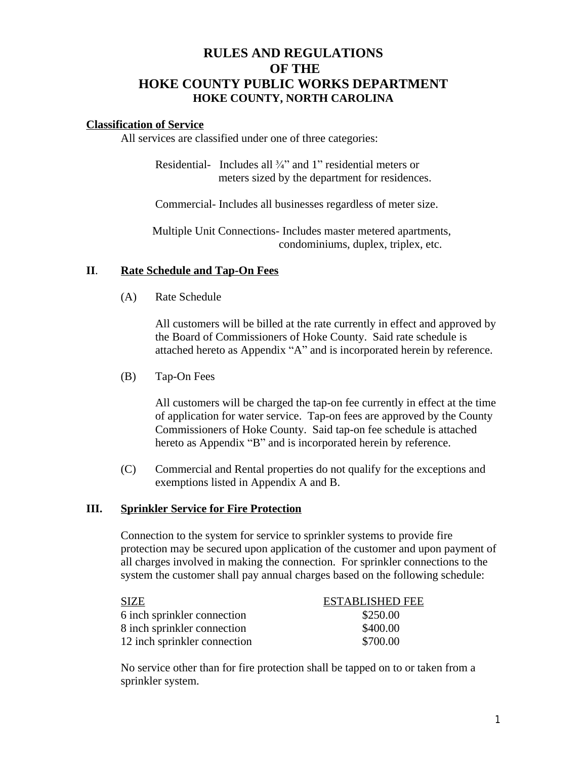# **RULES AND REGULATIONS OF THE HOKE COUNTY PUBLIC WORKS DEPARTMENT HOKE COUNTY, NORTH CAROLINA**

#### **Classification of Service**

All services are classified under one of three categories:

Residential- Includes all  $\frac{3}{4}$ " and 1" residential meters or meters sized by the department for residences.

Commercial- Includes all businesses regardless of meter size.

 Multiple Unit Connections- Includes master metered apartments, condominiums, duplex, triplex, etc.

#### **II**. **Rate Schedule and Tap-On Fees**

(A) Rate Schedule

All customers will be billed at the rate currently in effect and approved by the Board of Commissioners of Hoke County. Said rate schedule is attached hereto as Appendix "A" and is incorporated herein by reference.

(B) Tap-On Fees

All customers will be charged the tap-on fee currently in effect at the time of application for water service. Tap-on fees are approved by the County Commissioners of Hoke County. Said tap-on fee schedule is attached hereto as Appendix "B" and is incorporated herein by reference.

(C) Commercial and Rental properties do not qualify for the exceptions and exemptions listed in Appendix A and B.

#### **III. Sprinkler Service for Fire Protection**

Connection to the system for service to sprinkler systems to provide fire protection may be secured upon application of the customer and upon payment of all charges involved in making the connection. For sprinkler connections to the system the customer shall pay annual charges based on the following schedule:

| <b>SIZE</b>                  | <b>ESTABLISHED FEE</b> |
|------------------------------|------------------------|
| 6 inch sprinkler connection  | \$250.00               |
| 8 inch sprinkler connection  | \$400.00               |
| 12 inch sprinkler connection | \$700.00               |

No service other than for fire protection shall be tapped on to or taken from a sprinkler system.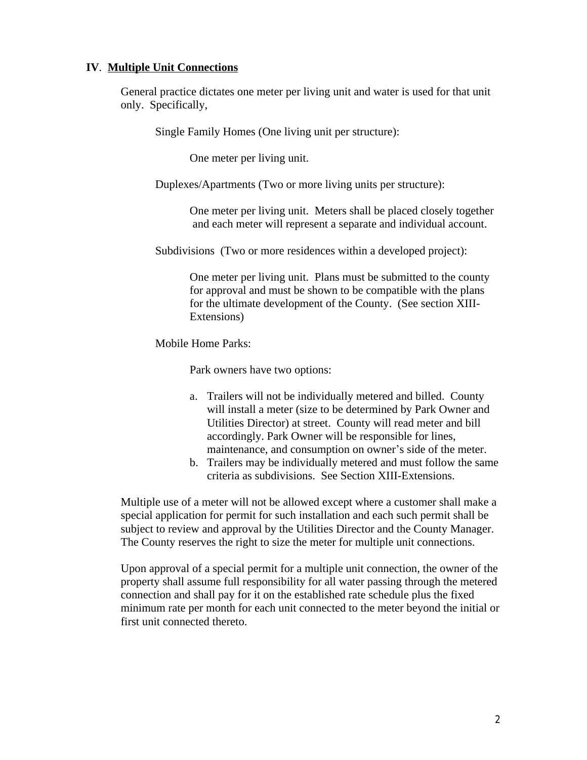#### **IV**. **Multiple Unit Connections**

General practice dictates one meter per living unit and water is used for that unit only. Specifically,

Single Family Homes (One living unit per structure):

One meter per living unit.

Duplexes/Apartments (Two or more living units per structure):

One meter per living unit. Meters shall be placed closely together and each meter will represent a separate and individual account.

Subdivisions (Two or more residences within a developed project):

One meter per living unit. Plans must be submitted to the county for approval and must be shown to be compatible with the plans for the ultimate development of the County. (See section XIII-Extensions)

Mobile Home Parks:

Park owners have two options:

- a. Trailers will not be individually metered and billed. County will install a meter (size to be determined by Park Owner and Utilities Director) at street. County will read meter and bill accordingly. Park Owner will be responsible for lines, maintenance, and consumption on owner's side of the meter.
- b. Trailers may be individually metered and must follow the same criteria as subdivisions. See Section XIII-Extensions.

Multiple use of a meter will not be allowed except where a customer shall make a special application for permit for such installation and each such permit shall be subject to review and approval by the Utilities Director and the County Manager. The County reserves the right to size the meter for multiple unit connections.

Upon approval of a special permit for a multiple unit connection, the owner of the property shall assume full responsibility for all water passing through the metered connection and shall pay for it on the established rate schedule plus the fixed minimum rate per month for each unit connected to the meter beyond the initial or first unit connected thereto.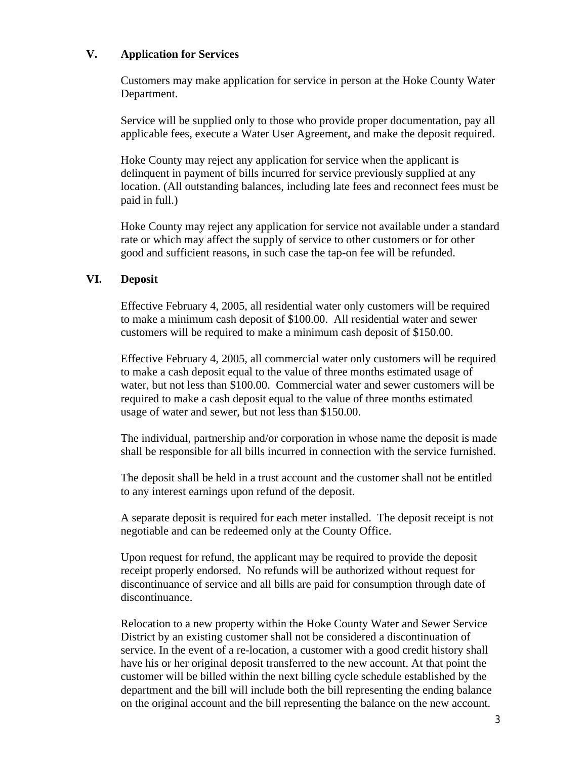### **V. Application for Services**

Customers may make application for service in person at the Hoke County Water Department.

Service will be supplied only to those who provide proper documentation, pay all applicable fees, execute a Water User Agreement, and make the deposit required.

Hoke County may reject any application for service when the applicant is delinquent in payment of bills incurred for service previously supplied at any location. (All outstanding balances, including late fees and reconnect fees must be paid in full.)

Hoke County may reject any application for service not available under a standard rate or which may affect the supply of service to other customers or for other good and sufficient reasons, in such case the tap-on fee will be refunded.

#### **VI. Deposit**

Effective February 4, 2005, all residential water only customers will be required to make a minimum cash deposit of \$100.00. All residential water and sewer customers will be required to make a minimum cash deposit of \$150.00.

Effective February 4, 2005, all commercial water only customers will be required to make a cash deposit equal to the value of three months estimated usage of water, but not less than \$100.00. Commercial water and sewer customers will be required to make a cash deposit equal to the value of three months estimated usage of water and sewer, but not less than \$150.00.

The individual, partnership and/or corporation in whose name the deposit is made shall be responsible for all bills incurred in connection with the service furnished.

The deposit shall be held in a trust account and the customer shall not be entitled to any interest earnings upon refund of the deposit.

A separate deposit is required for each meter installed. The deposit receipt is not negotiable and can be redeemed only at the County Office.

Upon request for refund, the applicant may be required to provide the deposit receipt properly endorsed. No refunds will be authorized without request for discontinuance of service and all bills are paid for consumption through date of discontinuance.

Relocation to a new property within the Hoke County Water and Sewer Service District by an existing customer shall not be considered a discontinuation of service. In the event of a re-location, a customer with a good credit history shall have his or her original deposit transferred to the new account. At that point the customer will be billed within the next billing cycle schedule established by the department and the bill will include both the bill representing the ending balance on the original account and the bill representing the balance on the new account.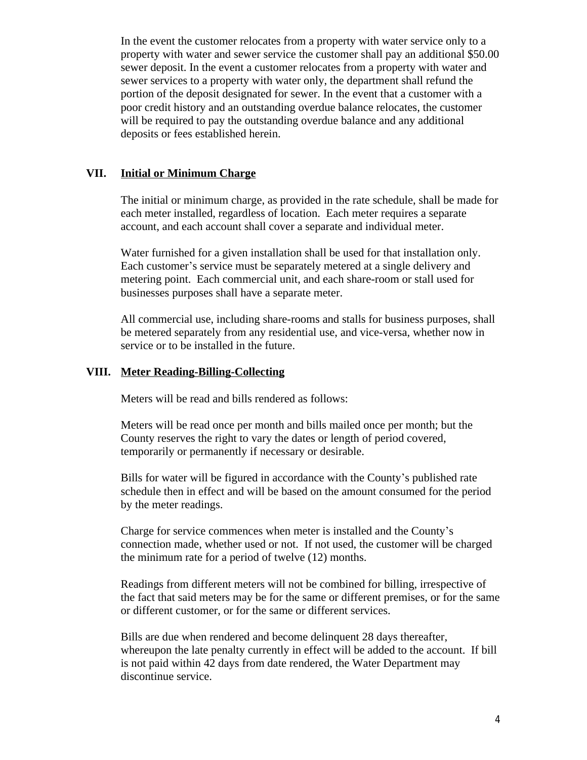In the event the customer relocates from a property with water service only to a property with water and sewer service the customer shall pay an additional \$50.00 sewer deposit. In the event a customer relocates from a property with water and sewer services to a property with water only, the department shall refund the portion of the deposit designated for sewer. In the event that a customer with a poor credit history and an outstanding overdue balance relocates, the customer will be required to pay the outstanding overdue balance and any additional deposits or fees established herein.

#### **VII. Initial or Minimum Charge**

The initial or minimum charge, as provided in the rate schedule, shall be made for each meter installed, regardless of location. Each meter requires a separate account, and each account shall cover a separate and individual meter.

Water furnished for a given installation shall be used for that installation only. Each customer's service must be separately metered at a single delivery and metering point. Each commercial unit, and each share-room or stall used for businesses purposes shall have a separate meter.

All commercial use, including share-rooms and stalls for business purposes, shall be metered separately from any residential use, and vice-versa, whether now in service or to be installed in the future.

### **VIII. Meter Reading-Billing-Collecting**

Meters will be read and bills rendered as follows:

Meters will be read once per month and bills mailed once per month; but the County reserves the right to vary the dates or length of period covered, temporarily or permanently if necessary or desirable.

Bills for water will be figured in accordance with the County's published rate schedule then in effect and will be based on the amount consumed for the period by the meter readings.

Charge for service commences when meter is installed and the County's connection made, whether used or not. If not used, the customer will be charged the minimum rate for a period of twelve (12) months.

Readings from different meters will not be combined for billing, irrespective of the fact that said meters may be for the same or different premises, or for the same or different customer, or for the same or different services.

Bills are due when rendered and become delinquent 28 days thereafter, whereupon the late penalty currently in effect will be added to the account. If bill is not paid within 42 days from date rendered, the Water Department may discontinue service.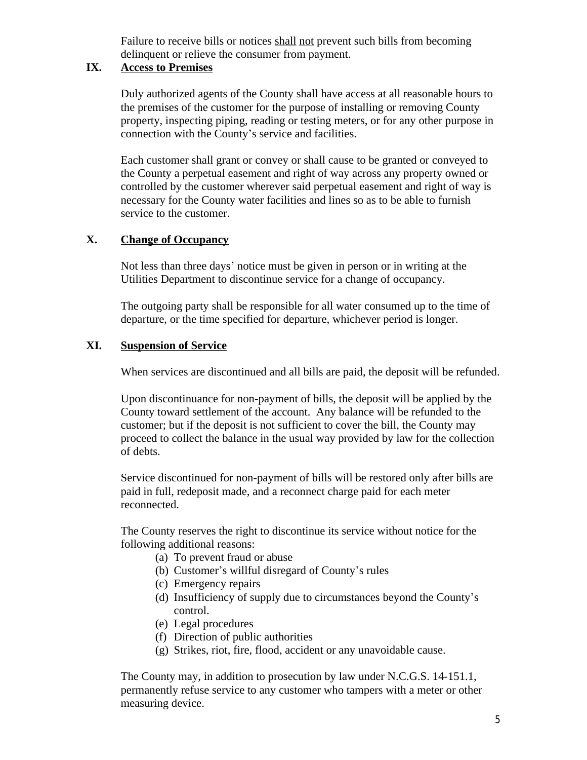Failure to receive bills or notices shall not prevent such bills from becoming delinquent or relieve the consumer from payment.

### **IX. Access to Premises**

Duly authorized agents of the County shall have access at all reasonable hours to the premises of the customer for the purpose of installing or removing County property, inspecting piping, reading or testing meters, or for any other purpose in connection with the County's service and facilities.

Each customer shall grant or convey or shall cause to be granted or conveyed to the County a perpetual easement and right of way across any property owned or controlled by the customer wherever said perpetual easement and right of way is necessary for the County water facilities and lines so as to be able to furnish service to the customer.

# **X. Change of Occupancy**

Not less than three days' notice must be given in person or in writing at the Utilities Department to discontinue service for a change of occupancy.

The outgoing party shall be responsible for all water consumed up to the time of departure, or the time specified for departure, whichever period is longer.

## **XI. Suspension of Service**

When services are discontinued and all bills are paid, the deposit will be refunded.

Upon discontinuance for non-payment of bills, the deposit will be applied by the County toward settlement of the account. Any balance will be refunded to the customer; but if the deposit is not sufficient to cover the bill, the County may proceed to collect the balance in the usual way provided by law for the collection of debts.

Service discontinued for non-payment of bills will be restored only after bills are paid in full, redeposit made, and a reconnect charge paid for each meter reconnected.

The County reserves the right to discontinue its service without notice for the following additional reasons:

- (a) To prevent fraud or abuse
- (b) Customer's willful disregard of County's rules
- (c) Emergency repairs
- (d) Insufficiency of supply due to circumstances beyond the County's control.
- (e) Legal procedures
- (f) Direction of public authorities
- (g) Strikes, riot, fire, flood, accident or any unavoidable cause.

The County may, in addition to prosecution by law under N.C.G.S. 14-151.1, permanently refuse service to any customer who tampers with a meter or other measuring device.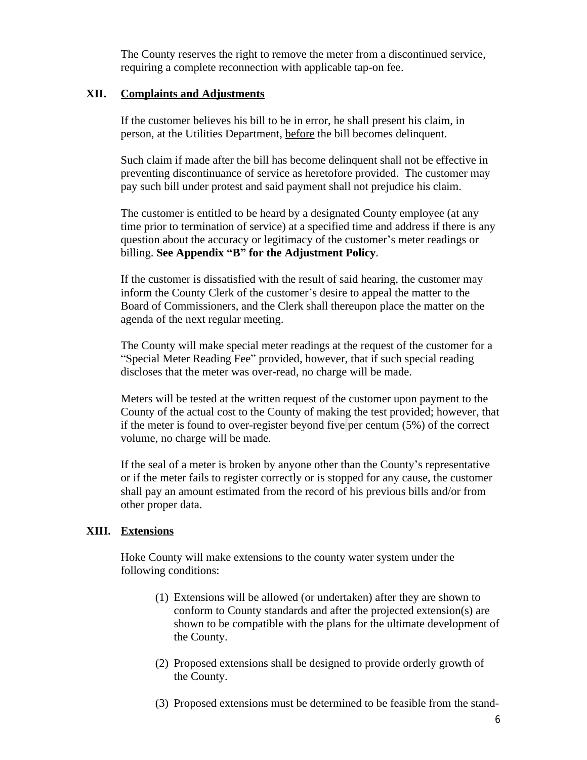The County reserves the right to remove the meter from a discontinued service, requiring a complete reconnection with applicable tap-on fee.

#### **XII. Complaints and Adjustments**

If the customer believes his bill to be in error, he shall present his claim, in person, at the Utilities Department, before the bill becomes delinquent.

Such claim if made after the bill has become delinquent shall not be effective in preventing discontinuance of service as heretofore provided. The customer may pay such bill under protest and said payment shall not prejudice his claim.

The customer is entitled to be heard by a designated County employee (at any time prior to termination of service) at a specified time and address if there is any question about the accuracy or legitimacy of the customer's meter readings or billing. **See Appendix "B" for the Adjustment Policy**.

If the customer is dissatisfied with the result of said hearing, the customer may inform the County Clerk of the customer's desire to appeal the matter to the Board of Commissioners, and the Clerk shall thereupon place the matter on the agenda of the next regular meeting.

The County will make special meter readings at the request of the customer for a "Special Meter Reading Fee" provided, however, that if such special reading discloses that the meter was over-read, no charge will be made.

Meters will be tested at the written request of the customer upon payment to the County of the actual cost to the County of making the test provided; however, that if the meter is found to over-register beyond five per centum (5%) of the correct volume, no charge will be made.

If the seal of a meter is broken by anyone other than the County's representative or if the meter fails to register correctly or is stopped for any cause, the customer shall pay an amount estimated from the record of his previous bills and/or from other proper data.

#### **XIII. Extensions**

Hoke County will make extensions to the county water system under the following conditions:

- (1) Extensions will be allowed (or undertaken) after they are shown to conform to County standards and after the projected extension(s) are shown to be compatible with the plans for the ultimate development of the County.
- (2) Proposed extensions shall be designed to provide orderly growth of the County.
- (3) Proposed extensions must be determined to be feasible from the stand-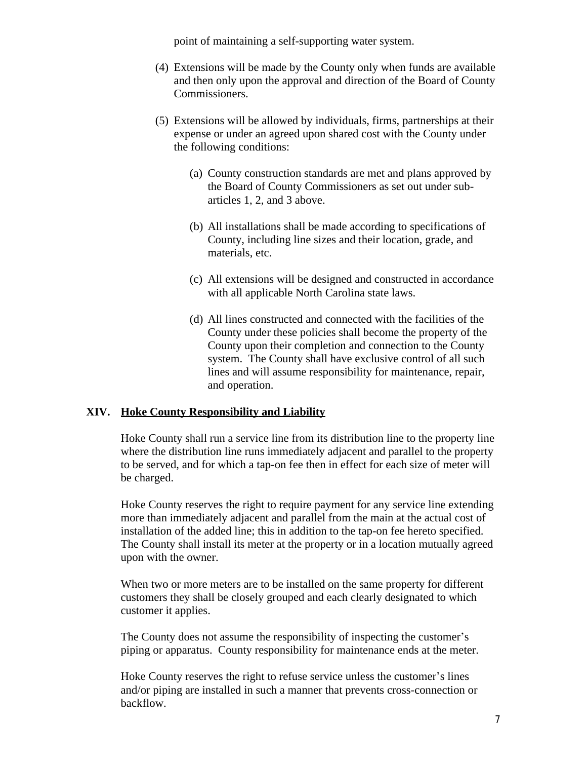point of maintaining a self-supporting water system.

- (4) Extensions will be made by the County only when funds are available and then only upon the approval and direction of the Board of County Commissioners.
- (5) Extensions will be allowed by individuals, firms, partnerships at their expense or under an agreed upon shared cost with the County under the following conditions:
	- (a) County construction standards are met and plans approved by the Board of County Commissioners as set out under subarticles 1, 2, and 3 above.
	- (b) All installations shall be made according to specifications of County, including line sizes and their location, grade, and materials, etc.
	- (c) All extensions will be designed and constructed in accordance with all applicable North Carolina state laws.
	- (d) All lines constructed and connected with the facilities of the County under these policies shall become the property of the County upon their completion and connection to the County system. The County shall have exclusive control of all such lines and will assume responsibility for maintenance, repair, and operation.

## **XIV. Hoke County Responsibility and Liability**

Hoke County shall run a service line from its distribution line to the property line where the distribution line runs immediately adjacent and parallel to the property to be served, and for which a tap-on fee then in effect for each size of meter will be charged.

Hoke County reserves the right to require payment for any service line extending more than immediately adjacent and parallel from the main at the actual cost of installation of the added line; this in addition to the tap-on fee hereto specified. The County shall install its meter at the property or in a location mutually agreed upon with the owner.

When two or more meters are to be installed on the same property for different customers they shall be closely grouped and each clearly designated to which customer it applies.

The County does not assume the responsibility of inspecting the customer's piping or apparatus. County responsibility for maintenance ends at the meter.

Hoke County reserves the right to refuse service unless the customer's lines and/or piping are installed in such a manner that prevents cross-connection or backflow.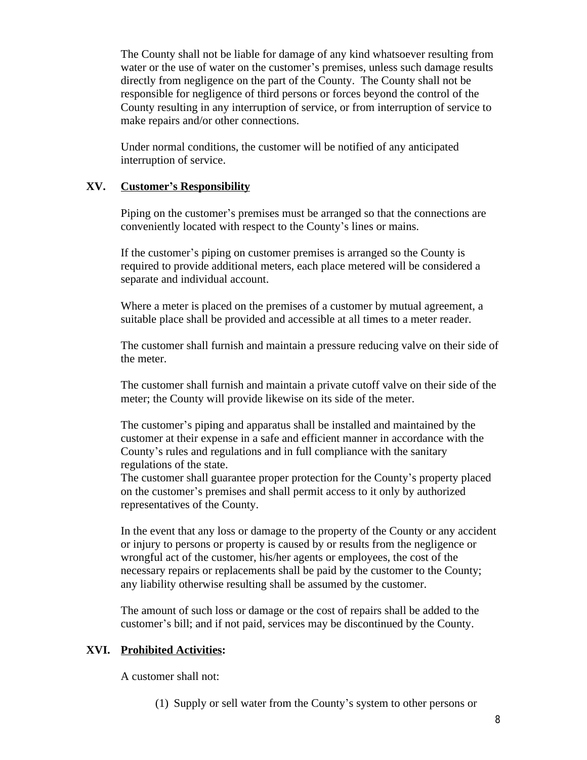The County shall not be liable for damage of any kind whatsoever resulting from water or the use of water on the customer's premises, unless such damage results directly from negligence on the part of the County. The County shall not be responsible for negligence of third persons or forces beyond the control of the County resulting in any interruption of service, or from interruption of service to make repairs and/or other connections.

Under normal conditions, the customer will be notified of any anticipated interruption of service.

### **XV. Customer's Responsibility**

Piping on the customer's premises must be arranged so that the connections are conveniently located with respect to the County's lines or mains.

If the customer's piping on customer premises is arranged so the County is required to provide additional meters, each place metered will be considered a separate and individual account.

Where a meter is placed on the premises of a customer by mutual agreement, a suitable place shall be provided and accessible at all times to a meter reader.

The customer shall furnish and maintain a pressure reducing valve on their side of the meter.

The customer shall furnish and maintain a private cutoff valve on their side of the meter; the County will provide likewise on its side of the meter.

The customer's piping and apparatus shall be installed and maintained by the customer at their expense in a safe and efficient manner in accordance with the County's rules and regulations and in full compliance with the sanitary regulations of the state.

The customer shall guarantee proper protection for the County's property placed on the customer's premises and shall permit access to it only by authorized representatives of the County.

In the event that any loss or damage to the property of the County or any accident or injury to persons or property is caused by or results from the negligence or wrongful act of the customer, his/her agents or employees, the cost of the necessary repairs or replacements shall be paid by the customer to the County; any liability otherwise resulting shall be assumed by the customer.

The amount of such loss or damage or the cost of repairs shall be added to the customer's bill; and if not paid, services may be discontinued by the County.

#### **XVI. Prohibited Activities:**

A customer shall not:

(1) Supply or sell water from the County's system to other persons or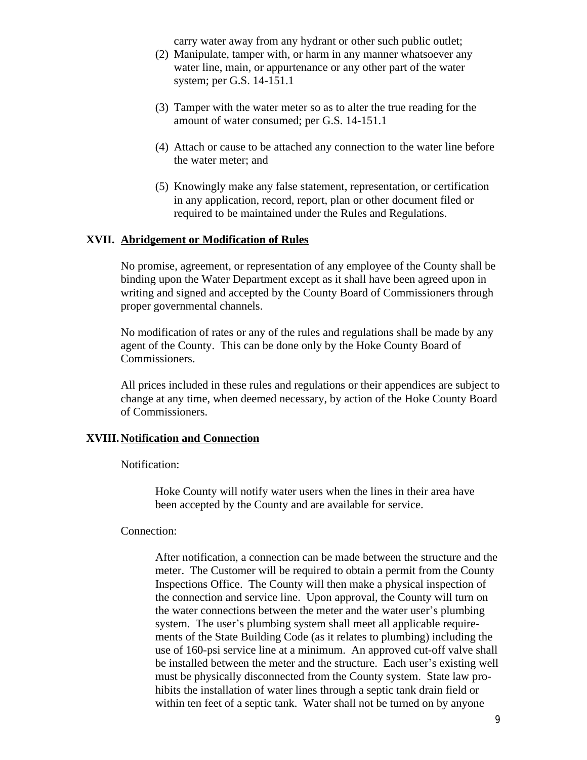carry water away from any hydrant or other such public outlet;

- (2) Manipulate, tamper with, or harm in any manner whatsoever any water line, main, or appurtenance or any other part of the water system; per G.S. 14-151.1
- (3) Tamper with the water meter so as to alter the true reading for the amount of water consumed; per G.S. 14-151.1
- (4) Attach or cause to be attached any connection to the water line before the water meter; and
- (5) Knowingly make any false statement, representation, or certification in any application, record, report, plan or other document filed or required to be maintained under the Rules and Regulations.

### **XVII. Abridgement or Modification of Rules**

No promise, agreement, or representation of any employee of the County shall be binding upon the Water Department except as it shall have been agreed upon in writing and signed and accepted by the County Board of Commissioners through proper governmental channels.

No modification of rates or any of the rules and regulations shall be made by any agent of the County. This can be done only by the Hoke County Board of Commissioners.

All prices included in these rules and regulations or their appendices are subject to change at any time, when deemed necessary, by action of the Hoke County Board of Commissioners.

#### **XVIII. Notification and Connection**

Notification:

 Hoke County will notify water users when the lines in their area have been accepted by the County and are available for service.

#### Connection:

 After notification, a connection can be made between the structure and the meter. The Customer will be required to obtain a permit from the County Inspections Office. The County will then make a physical inspection of the connection and service line. Upon approval, the County will turn on the water connections between the meter and the water user's plumbing system. The user's plumbing system shall meet all applicable requirements of the State Building Code (as it relates to plumbing) including the use of 160-psi service line at a minimum. An approved cut-off valve shall be installed between the meter and the structure. Each user's existing well must be physically disconnected from the County system. State law prohibits the installation of water lines through a septic tank drain field or within ten feet of a septic tank. Water shall not be turned on by anyone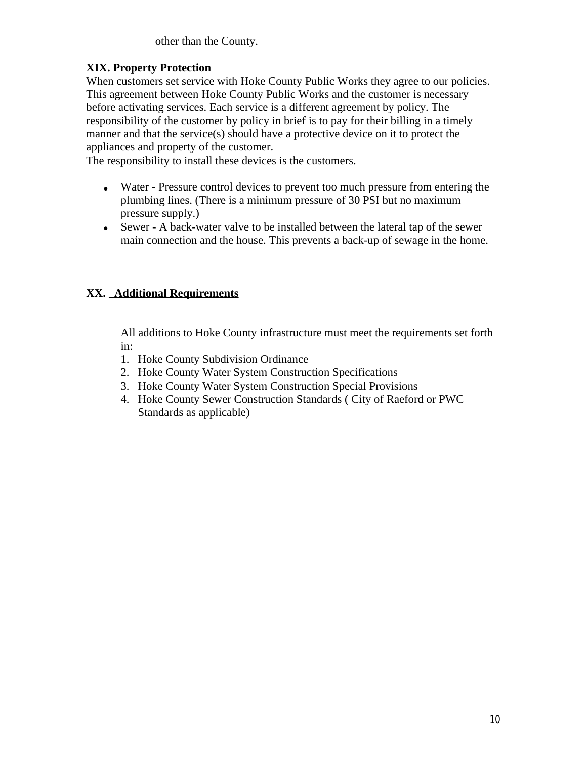other than the County.

# **XIX. Property Protection**

When customers set service with Hoke County Public Works they agree to our policies. This agreement between Hoke County Public Works and the customer is necessary before activating services. Each service is a different agreement by policy. The responsibility of the customer by policy in brief is to pay for their billing in a timely manner and that the service(s) should have a protective device on it to protect the appliances and property of the customer.

The responsibility to install these devices is the customers.

- Water Pressure control devices to prevent too much pressure from entering the plumbing lines. (There is a minimum pressure of 30 PSI but no maximum pressure supply.)
- Sewer A back-water valve to be installed between the lateral tap of the sewer main connection and the house. This prevents a back-up of sewage in the home.

# **XX. Additional Requirements**

All additions to Hoke County infrastructure must meet the requirements set forth in:

- 1. Hoke County Subdivision Ordinance
- 2. Hoke County Water System Construction Specifications
- 3. Hoke County Water System Construction Special Provisions
- 4. Hoke County Sewer Construction Standards ( City of Raeford or PWC Standards as applicable)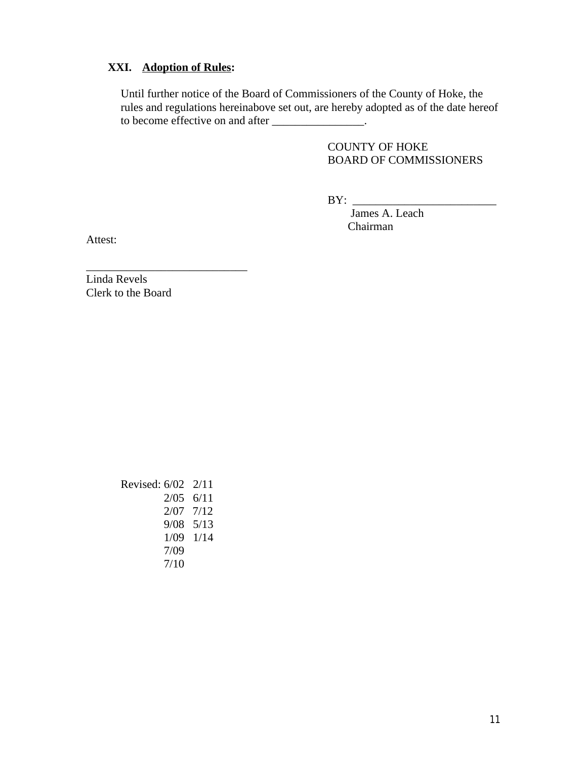# **XXI. Adoption of Rules:**

Until further notice of the Board of Commissioners of the County of Hoke, the rules and regulations hereinabove set out, are hereby adopted as of the date hereof to become effective on and after \_\_\_\_\_\_\_\_\_\_\_\_\_\_\_\_.

> COUNTY OF HOKE BOARD OF COMMISSIONERS

 $BY:$ 

 James A. Leach Chairman

Attest:

\_\_\_\_\_\_\_\_\_\_\_\_\_\_\_\_\_\_\_\_\_\_\_\_\_\_\_\_ Linda Revels Clerk to the Board

> Revised: 6/02 2/11 2/05 6/11 2/07 7/12 9/08 5/13 1/09 1/14 7/09 7/10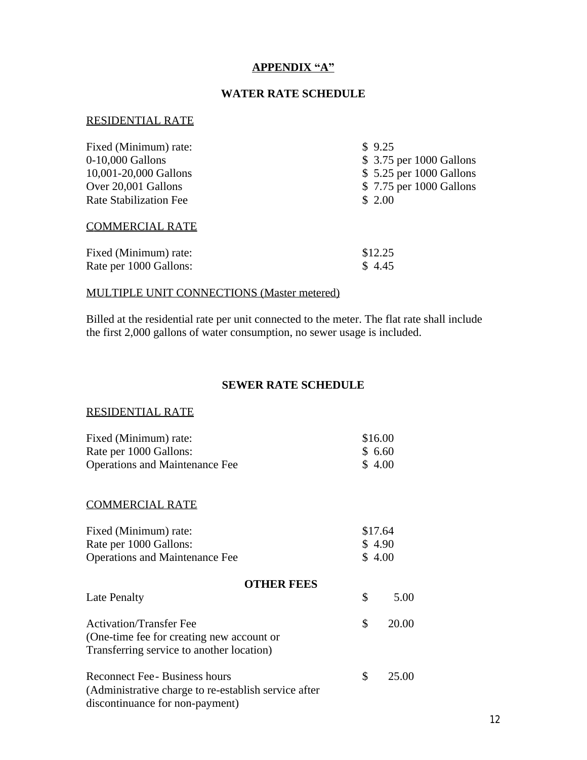### **APPENDIX "A"**

### **WATER RATE SCHEDULE**

#### RESIDENTIAL RATE

| Fixed (Minimum) rate:         | \$9.25                   |
|-------------------------------|--------------------------|
| 0-10,000 Gallons              | \$ 3.75 per 1000 Gallons |
| 10,001-20,000 Gallons         | \$5.25 per 1000 Gallons  |
| Over 20,001 Gallons           | \$7.75 per 1000 Gallons  |
| <b>Rate Stabilization Fee</b> | \$2.00                   |
| <b>COMMERCIAL RATE</b>        |                          |
| Fixed (Minimum) rate:         | \$12.25                  |
| Rate per 1000 Gallons:        | \$4.45                   |

# MULTIPLE UNIT CONNECTIONS (Master metered)

Billed at the residential rate per unit connected to the meter. The flat rate shall include the first 2,000 gallons of water consumption, no sewer usage is included.

## **SEWER RATE SCHEDULE**

# RESIDENTIAL RATE

| Fixed (Minimum) rate:                 | \$16.00 |
|---------------------------------------|---------|
| Rate per 1000 Gallons:                | \$ 6.60 |
| <b>Operations and Maintenance Fee</b> | \$4.00  |

#### COMMERCIAL RATE

| Fixed (Minimum) rate:                 | \$17.64 |
|---------------------------------------|---------|
| Rate per 1000 Gallons:                | \$4.90  |
| <b>Operations and Maintenance Fee</b> | \$4.00  |

### **OTHER FEES**

| Late Penalty                                                                                                               |     | 5.00  |
|----------------------------------------------------------------------------------------------------------------------------|-----|-------|
| <b>Activation/Transfer Fee</b><br>(One-time fee for creating new account or<br>Transferring service to another location)   | \$  | 20.00 |
| Reconnect Fee - Business hours<br>(Administrative charge to re-establish service after)<br>discontinuance for non-payment) | \$. | 25.00 |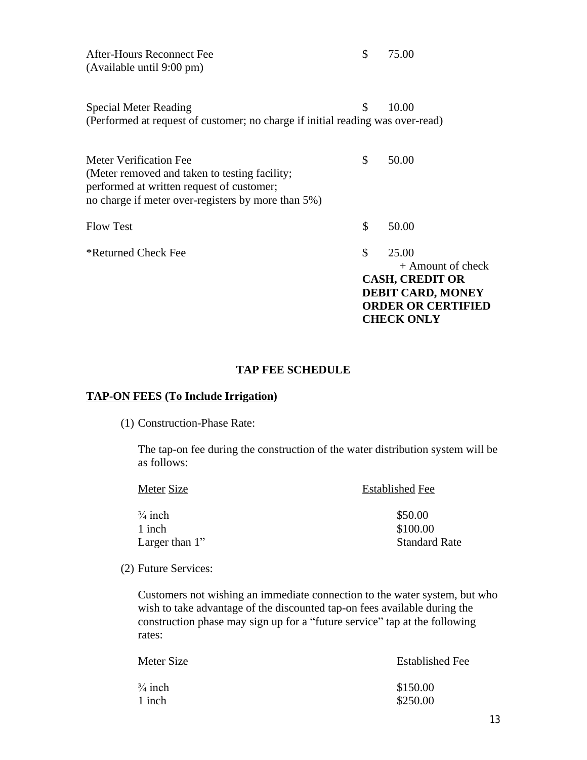| After-Hours Reconnect Fee | $\$\,$ 75.00 |
|---------------------------|--------------|
| (Available until 9:00 pm) |              |

Special Meter Reading  $\qquad \qquad$  \$ 10.00 (Performed at request of customer; no charge if initial reading was over-read)

| Meter Verification Fee<br>(Meter removed and taken to testing facility;<br>performed at written request of customer;<br>no charge if meter over-registers by more than 5%) | \$                                                                                                                                         | 50.00 |
|----------------------------------------------------------------------------------------------------------------------------------------------------------------------------|--------------------------------------------------------------------------------------------------------------------------------------------|-------|
| <b>Flow Test</b>                                                                                                                                                           | \$                                                                                                                                         | 50.00 |
| *Returned Check Fee                                                                                                                                                        | \$<br>25.00<br>$+$ Amount of check<br><b>CASH, CREDIT OR</b><br><b>DEBIT CARD, MONEY</b><br><b>ORDER OR CERTIFIED</b><br><b>CHECK ONLY</b> |       |

#### **TAP FEE SCHEDULE**

# **TAP-ON FEES (To Include Irrigation)**

(1) Construction-Phase Rate:

The tap-on fee during the construction of the water distribution system will be as follows:

| Meter Size         | <b>Established Fee</b> |  |
|--------------------|------------------------|--|
| $\frac{3}{4}$ inch | \$50.00                |  |
| 1 inch             | \$100.00               |  |
| Larger than $1$ "  | <b>Standard Rate</b>   |  |

(2) Future Services:

Customers not wishing an immediate connection to the water system, but who wish to take advantage of the discounted tap-on fees available during the construction phase may sign up for a "future service" tap at the following rates:

| Meter Size         | <b>Established Fee</b> |
|--------------------|------------------------|
| $\frac{3}{4}$ inch | \$150.00               |
| 1 inch             | \$250.00               |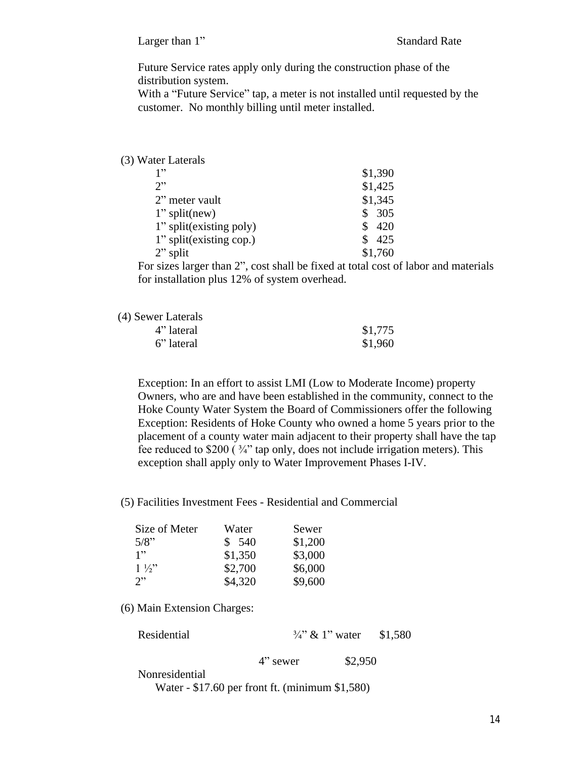Larger than 1" Standard Rate

Future Service rates apply only during the construction phase of the distribution system.

With a "Future Service" tap, a meter is not installed until requested by the customer. No monthly billing until meter installed.

#### (3) Water Laterals

| 1"                      | \$1,390 |
|-------------------------|---------|
| 2"                      | \$1,425 |
| 2" meter vault          | \$1,345 |
| $1$ " split(new)        | 305     |
| 1" split(existing poly) | 420     |
| 1" split(existing cop.) | 425     |
| $2$ " split             | \$1,760 |

For sizes larger than 2", cost shall be fixed at total cost of labor and materials for installation plus 12% of system overhead.

| (4) Sewer Laterals |         |
|--------------------|---------|
| 4" lateral         | \$1,775 |
| 6" lateral         | \$1,960 |

Exception: In an effort to assist LMI (Low to Moderate Income) property Owners, who are and have been established in the community, connect to the Hoke County Water System the Board of Commissioners offer the following Exception: Residents of Hoke County who owned a home 5 years prior to the placement of a county water main adjacent to their property shall have the tap fee reduced to  $$200 (34"$  tap only, does not include irrigation meters). This exception shall apply only to Water Improvement Phases I-IV.

(5) Facilities Investment Fees - Residential and Commercial

| Size of Meter  | Water   | Sewer   |
|----------------|---------|---------|
| 5/8"           | \$540   | \$1,200 |
| 1"             | \$1,350 | \$3,000 |
| $1\frac{1}{2}$ | \$2,700 | \$6,000 |
| 2"             | \$4,320 | \$9,600 |

(6) Main Extension Charges:

| Residential | $\frac{3}{4}$ " & 1" water | \$1,580 |
|-------------|----------------------------|---------|
|             |                            |         |

4" sewer \$2,950

Nonresidential

Water - \$17.60 per front ft. (minimum \$1,580)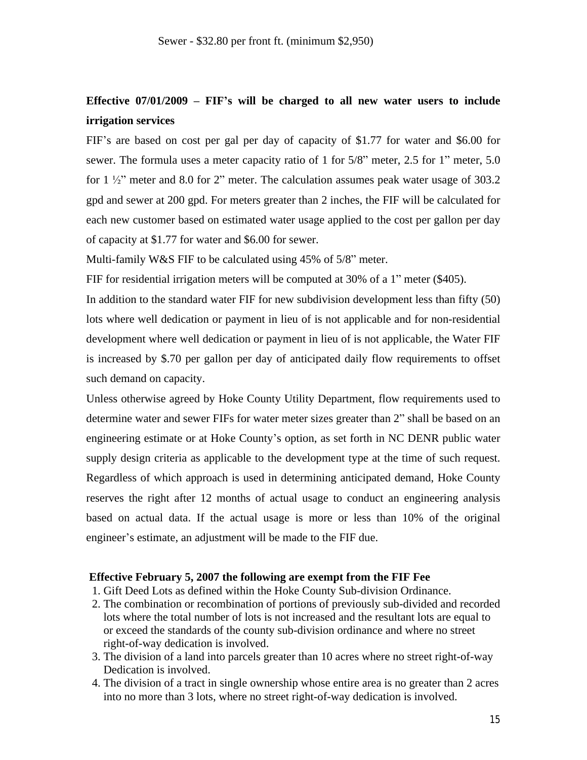# **Effective 07/01/2009 – FIF's will be charged to all new water users to include irrigation services**

FIF's are based on cost per gal per day of capacity of \$1.77 for water and \$6.00 for sewer. The formula uses a meter capacity ratio of 1 for 5/8" meter, 2.5 for 1" meter, 5.0 for  $1\frac{1}{2}$ " meter and 8.0 for 2" meter. The calculation assumes peak water usage of 303.2 gpd and sewer at 200 gpd. For meters greater than 2 inches, the FIF will be calculated for each new customer based on estimated water usage applied to the cost per gallon per day of capacity at \$1.77 for water and \$6.00 for sewer.

Multi-family W&S FIF to be calculated using 45% of 5/8" meter.

FIF for residential irrigation meters will be computed at 30% of a 1" meter (\$405).

In addition to the standard water FIF for new subdivision development less than fifty (50) lots where well dedication or payment in lieu of is not applicable and for non-residential development where well dedication or payment in lieu of is not applicable, the Water FIF is increased by \$.70 per gallon per day of anticipated daily flow requirements to offset such demand on capacity.

Unless otherwise agreed by Hoke County Utility Department, flow requirements used to determine water and sewer FIFs for water meter sizes greater than 2" shall be based on an engineering estimate or at Hoke County's option, as set forth in NC DENR public water supply design criteria as applicable to the development type at the time of such request. Regardless of which approach is used in determining anticipated demand, Hoke County reserves the right after 12 months of actual usage to conduct an engineering analysis based on actual data. If the actual usage is more or less than 10% of the original engineer's estimate, an adjustment will be made to the FIF due.

#### **Effective February 5, 2007 the following are exempt from the FIF Fee**

- 1. Gift Deed Lots as defined within the Hoke County Sub-division Ordinance.
- 2. The combination or recombination of portions of previously sub-divided and recorded lots where the total number of lots is not increased and the resultant lots are equal to or exceed the standards of the county sub-division ordinance and where no street right-of-way dedication is involved.
- 3. The division of a land into parcels greater than 10 acres where no street right-of-way Dedication is involved.
- 4. The division of a tract in single ownership whose entire area is no greater than 2 acres into no more than 3 lots, where no street right-of-way dedication is involved.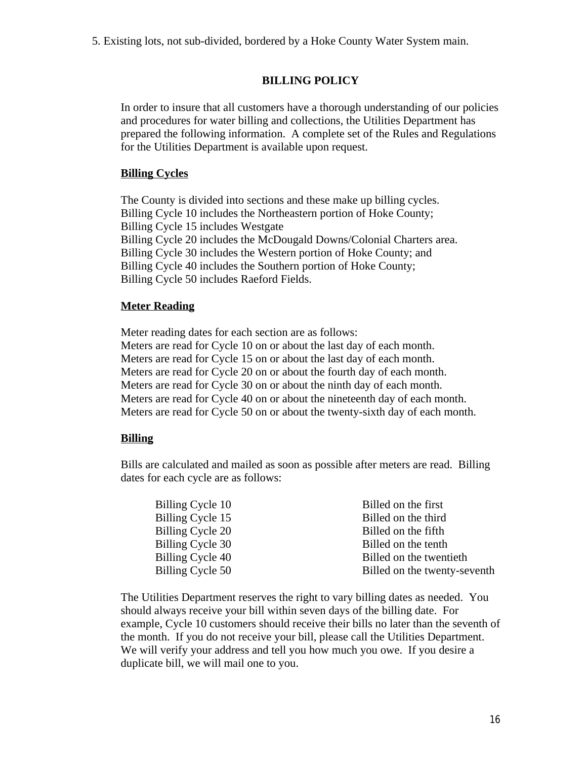5. Existing lots, not sub-divided, bordered by a Hoke County Water System main.

# **BILLING POLICY**

In order to insure that all customers have a thorough understanding of our policies and procedures for water billing and collections, the Utilities Department has prepared the following information. A complete set of the Rules and Regulations for the Utilities Department is available upon request.

#### **Billing Cycles**

The County is divided into sections and these make up billing cycles. Billing Cycle 10 includes the Northeastern portion of Hoke County; Billing Cycle 15 includes Westgate Billing Cycle 20 includes the McDougald Downs/Colonial Charters area. Billing Cycle 30 includes the Western portion of Hoke County; and Billing Cycle 40 includes the Southern portion of Hoke County; Billing Cycle 50 includes Raeford Fields.

#### **Meter Reading**

Meter reading dates for each section are as follows: Meters are read for Cycle 10 on or about the last day of each month. Meters are read for Cycle 15 on or about the last day of each month. Meters are read for Cycle 20 on or about the fourth day of each month. Meters are read for Cycle 30 on or about the ninth day of each month. Meters are read for Cycle 40 on or about the nineteenth day of each month. Meters are read for Cycle 50 on or about the twenty-sixth day of each month.

## **Billing**

Bills are calculated and mailed as soon as possible after meters are read. Billing dates for each cycle are as follows:

| Billing Cycle 10 | Billed on the first          |
|------------------|------------------------------|
| Billing Cycle 15 | Billed on the third          |
| Billing Cycle 20 | Billed on the fifth          |
| Billing Cycle 30 | Billed on the tenth          |
| Billing Cycle 40 | Billed on the twentieth      |
| Billing Cycle 50 | Billed on the twenty-seventh |
|                  |                              |

The Utilities Department reserves the right to vary billing dates as needed. You should always receive your bill within seven days of the billing date. For example, Cycle 10 customers should receive their bills no later than the seventh of the month. If you do not receive your bill, please call the Utilities Department. We will verify your address and tell you how much you owe. If you desire a duplicate bill, we will mail one to you.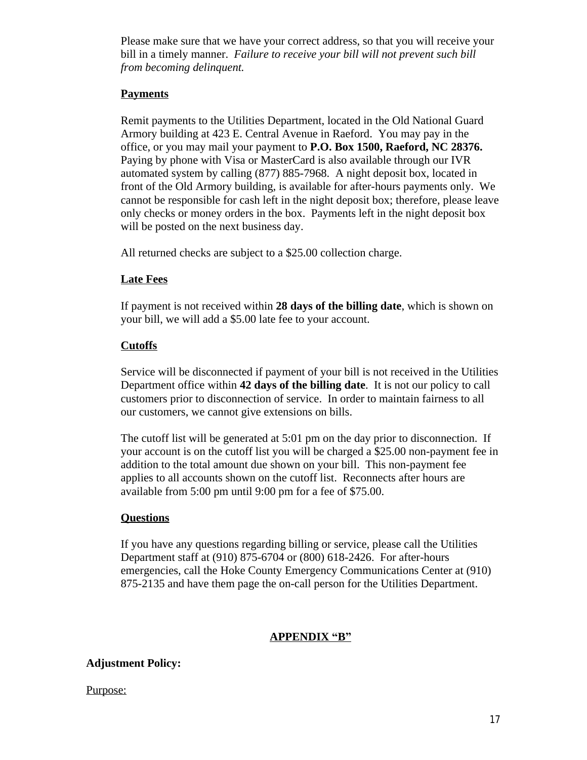Please make sure that we have your correct address, so that you will receive your bill in a timely manner. *Failure to receive your bill will not prevent such bill from becoming delinquent.*

# **Payments**

Remit payments to the Utilities Department, located in the Old National Guard Armory building at 423 E. Central Avenue in Raeford. You may pay in the office, or you may mail your payment to **P.O. Box 1500, Raeford, NC 28376.**  Paying by phone with Visa or MasterCard is also available through our IVR automated system by calling (877) 885-7968. A night deposit box, located in front of the Old Armory building, is available for after-hours payments only. We cannot be responsible for cash left in the night deposit box; therefore, please leave only checks or money orders in the box. Payments left in the night deposit box will be posted on the next business day.

All returned checks are subject to a \$25.00 collection charge.

# **Late Fees**

If payment is not received within **28 days of the billing date**, which is shown on your bill, we will add a \$5.00 late fee to your account.

# **Cutoffs**

Service will be disconnected if payment of your bill is not received in the Utilities Department office within **42 days of the billing date**. It is not our policy to call customers prior to disconnection of service. In order to maintain fairness to all our customers, we cannot give extensions on bills.

The cutoff list will be generated at 5:01 pm on the day prior to disconnection. If your account is on the cutoff list you will be charged a \$25.00 non-payment fee in addition to the total amount due shown on your bill. This non-payment fee applies to all accounts shown on the cutoff list. Reconnects after hours are available from 5:00 pm until 9:00 pm for a fee of \$75.00.

# **Questions**

If you have any questions regarding billing or service, please call the Utilities Department staff at (910) 875-6704 or (800) 618-2426. For after-hours emergencies, call the Hoke County Emergency Communications Center at (910) 875-2135 and have them page the on-call person for the Utilities Department.

# **APPENDIX "B"**

# **Adjustment Policy:**

## Purpose: